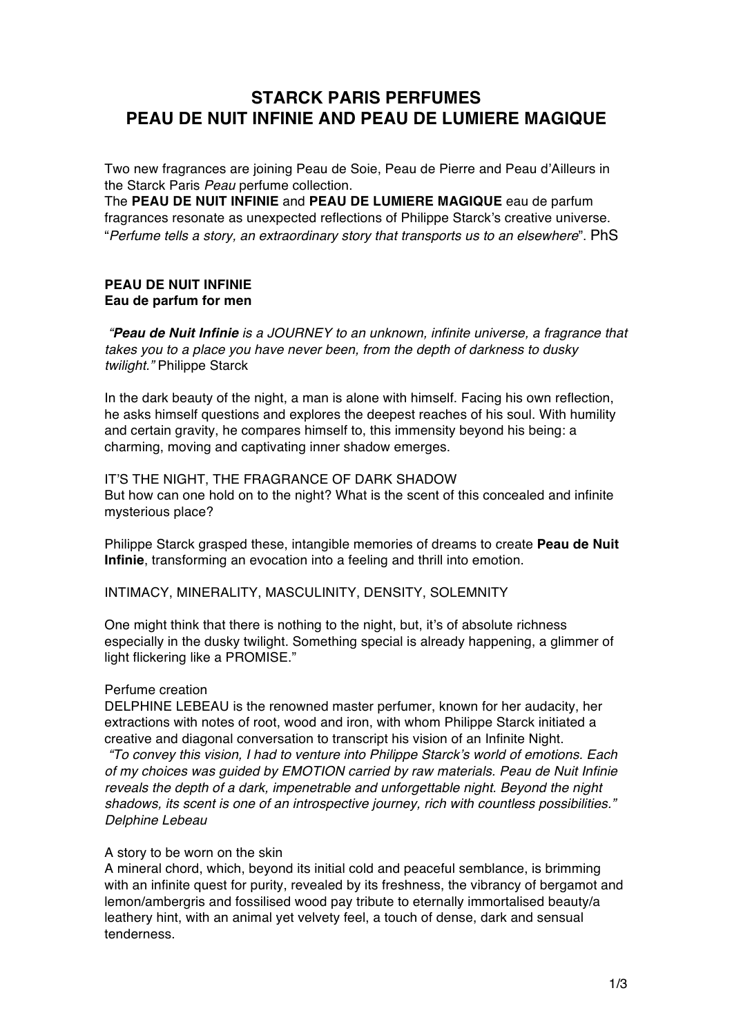# **STARCK PARIS PERFUMES PEAU DE NUIT INFINIE AND PEAU DE LUMIERE MAGIQUE**

Two new fragrances are joining Peau de Soie, Peau de Pierre and Peau d'Ailleurs in the Starck Paris *Peau* perfume collection.

The **PEAU DE NUIT INFINIE** and **PEAU DE LUMIERE MAGIQUE** eau de parfum fragrances resonate as unexpected reflections of Philippe Starck's creative universe. "*Perfume tells a story, an extraordinary story that transports us to an elsewhere*". PhS

#### **PEAU DE NUIT INFINIE Eau de parfum for men**

*"Peau de Nuit Infinie is a JOURNEY to an unknown, infinite universe, a fragrance that takes you to a place you have never been, from the depth of darkness to dusky twilight."* Philippe Starck

In the dark beauty of the night, a man is alone with himself. Facing his own reflection, he asks himself questions and explores the deepest reaches of his soul. With humility and certain gravity, he compares himself to, this immensity beyond his being: a charming, moving and captivating inner shadow emerges.

IT'S THE NIGHT, THE FRAGRANCE OF DARK SHADOW But how can one hold on to the night? What is the scent of this concealed and infinite mysterious place?

Philippe Starck grasped these, intangible memories of dreams to create **Peau de Nuit Infinie**, transforming an evocation into a feeling and thrill into emotion.

INTIMACY, MINERALITY, MASCULINITY, DENSITY, SOLEMNITY

One might think that there is nothing to the night, but, it's of absolute richness especially in the dusky twilight. Something special is already happening, a glimmer of light flickering like a PROMISE."

## Perfume creation

DELPHINE LEBEAU is the renowned master perfumer, known for her audacity, her extractions with notes of root, wood and iron, with whom Philippe Starck initiated a creative and diagonal conversation to transcript his vision of an Infinite Night.

*"To convey this vision, I had to venture into Philippe Starck's world of emotions. Each of my choices was guided by EMOTION carried by raw materials. Peau de Nuit Infinie reveals the depth of a dark, impenetrable and unforgettable night. Beyond the night shadows, its scent is one of an introspective journey, rich with countless possibilities." Delphine Lebeau*

#### A story to be worn on the skin

A mineral chord, which, beyond its initial cold and peaceful semblance, is brimming with an infinite quest for purity, revealed by its freshness, the vibrancy of bergamot and lemon/ambergris and fossilised wood pay tribute to eternally immortalised beauty/a leathery hint, with an animal yet velvety feel, a touch of dense, dark and sensual tenderness.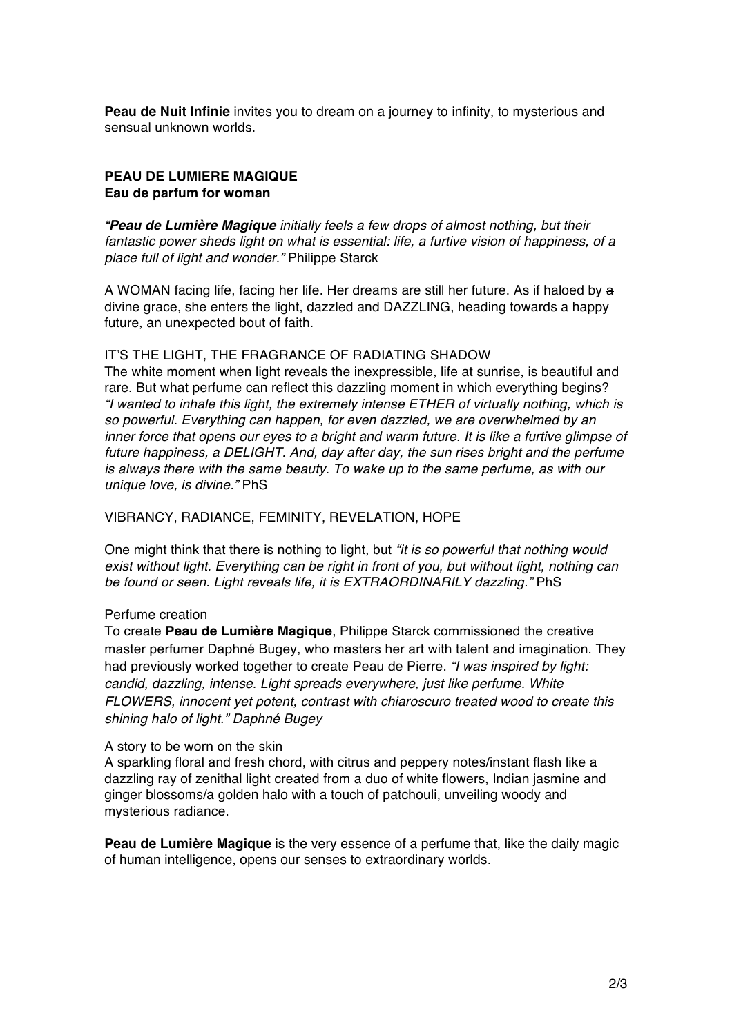**Peau de Nuit Infinie** invites you to dream on a journey to infinity, to mysterious and sensual unknown worlds.

#### **PEAU DE LUMIERE MAGIQUE Eau de parfum for woman**

*"Peau de Lumière Magique initially feels a few drops of almost nothing, but their fantastic power sheds light on what is essential: life, a furtive vision of happiness, of a place full of light and wonder."* Philippe Starck

A WOMAN facing life, facing her life. Her dreams are still her future. As if haloed by a divine grace, she enters the light, dazzled and DAZZLING, heading towards a happy future, an unexpected bout of faith.

#### IT'S THE LIGHT, THE FRAGRANCE OF RADIATING SHADOW

The white moment when light reveals the inexpressible, life at sunrise, is beautiful and rare. But what perfume can reflect this dazzling moment in which everything begins? *"I wanted to inhale this light, the extremely intense ETHER of virtually nothing, which is so powerful. Everything can happen, for even dazzled, we are overwhelmed by an inner force that opens our eyes to a bright and warm future. It is like a furtive glimpse of future happiness, a DELIGHT. And, day after day, the sun rises bright and the perfume is always there with the same beauty. To wake up to the same perfume, as with our unique love, is divine."* PhS

VIBRANCY, RADIANCE, FEMINITY, REVELATION, HOPE

One might think that there is nothing to light, but *"it is so powerful that nothing would exist without light. Everything can be right in front of you, but without light, nothing can be found or seen. Light reveals life, it is EXTRAORDINARILY dazzling."* PhS

## Perfume creation

To create **Peau de Lumière Magique**, Philippe Starck commissioned the creative master perfumer Daphné Bugey, who masters her art with talent and imagination. They had previously worked together to create Peau de Pierre. *"I was inspired by light: candid, dazzling, intense. Light spreads everywhere, just like perfume. White FLOWERS, innocent yet potent, contrast with chiaroscuro treated wood to create this shining halo of light." Daphné Bugey*

#### A story to be worn on the skin

A sparkling floral and fresh chord, with citrus and peppery notes/instant flash like a dazzling ray of zenithal light created from a duo of white flowers, Indian jasmine and ginger blossoms/a golden halo with a touch of patchouli, unveiling woody and mysterious radiance.

**Peau de Lumière Magique** is the very essence of a perfume that, like the daily magic of human intelligence, opens our senses to extraordinary worlds.